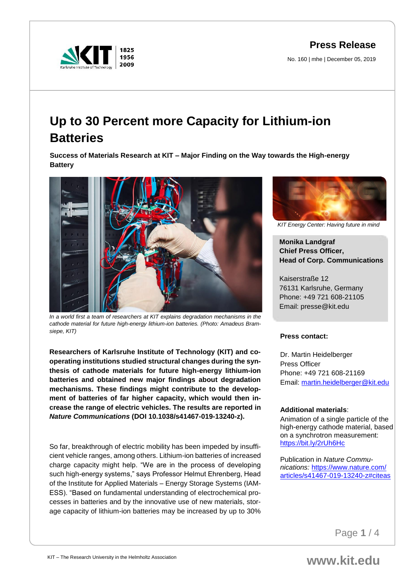**Press Release**

No. 160 | mhe | December 05, 2019



# **Up to 30 Percent more Capacity for Lithium-ion Batteries**

**Success of Materials Research at KIT – Major Finding on the Way towards the High-energy Battery**



*In a world first a team of researchers at KIT explains degradation mechanisms in the cathode material for future high-energy lithium-ion batteries. (Photo: Amadeus Bramsiepe, KIT)*

**Researchers of Karlsruhe Institute of Technology (KIT) and cooperating institutions studied structural changes during the synthesis of cathode materials for future high-energy lithium-ion batteries and obtained new major findings about degradation mechanisms. These findings might contribute to the development of batteries of far higher capacity, which would then increase the range of electric vehicles. The results are reported in**  *Nature Communications* **(DOI 10.1038/s41467-019-13240-z).**

So far, breakthrough of electric mobility has been impeded by insufficient vehicle ranges, among others. Lithium-ion batteries of increased charge capacity might help. "We are in the process of developing such high-energy systems," says Professor Helmut Ehrenberg, Head of the Institute for Applied Materials – Energy Storage Systems (IAM-ESS). "Based on fundamental understanding of electrochemical processes in batteries and by the innovative use of new materials, storage capacity of lithium-ion batteries may be increased by up to 30%



*KIT Energy Center: Having future in mind*

**Monika Landgraf Chief Press Officer, Head of Corp. Communications**

Kaiserstraße 12 76131 Karlsruhe, Germany Phone: +49 721 608-21105 Email: presse@kit.edu

## **Press contact:**

Dr. Martin Heidelberger Press Officer Phone: +49 721 608-21169 Email: [martin.heidelberger@kit.edu](mailto:martin.heidelberger@kit.edu)

## **Additional materials**:

Animation of a single particle of the high-energy cathode material, based on a synchrotron measurement: <https://bit.ly/2rUh6Hc>

Publication in *Nature Communications:* [https://www.nature.com/](https://www.nature.com/articles/s41467-019-13240-z#citeas) [articles/s41467-019-13240-z#citeas](https://www.nature.com/articles/s41467-019-13240-z#citeas)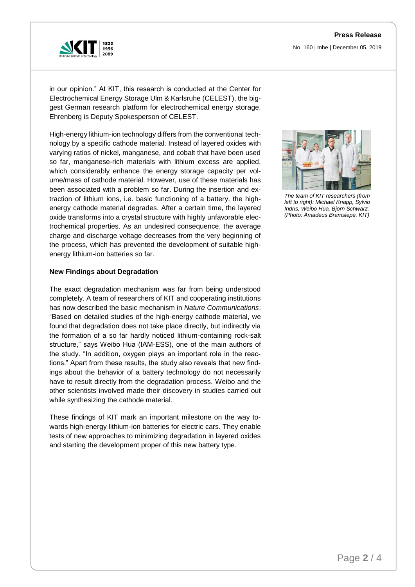

in our opinion." At KIT, this research is conducted at the Center for Electrochemical Energy Storage Ulm & Karlsruhe (CELEST), the biggest German research platform for electrochemical energy storage. Ehrenberg is Deputy Spokesperson of CELEST.

High-energy lithium-ion technology differs from the conventional technology by a specific cathode material. Instead of layered oxides with varying ratios of nickel, manganese, and cobalt that have been used so far, manganese-rich materials with lithium excess are applied, which considerably enhance the energy storage capacity per volume/mass of cathode material. However, use of these materials has been associated with a problem so far. During the insertion and extraction of lithium ions, i.e. basic functioning of a battery, the highenergy cathode material degrades. After a certain time, the layered oxide transforms into a crystal structure with highly unfavorable electrochemical properties. As an undesired consequence, the average charge and discharge voltage decreases from the very beginning of the process, which has prevented the development of suitable highenergy lithium-ion batteries so far.

### **New Findings about Degradation**

The exact degradation mechanism was far from being understood completely. A team of researchers of KIT and cooperating institutions has now described the basic mechanism in *Nature Communications*: "Based on detailed studies of the high-energy cathode material, we found that degradation does not take place directly, but indirectly via the formation of a so far hardly noticed lithium-containing rock-salt structure," says Weibo Hua (IAM-ESS), one of the main authors of the study. "In addition, oxygen plays an important role in the reactions." Apart from these results, the study also reveals that new findings about the behavior of a battery technology do not necessarily have to result directly from the degradation process. Weibo and the other scientists involved made their discovery in studies carried out while synthesizing the cathode material.

These findings of KIT mark an important milestone on the way towards high-energy lithium-ion batteries for electric cars. They enable tests of new approaches to minimizing degradation in layered oxides and starting the development proper of this new battery type.



*The team of KIT researchers (from left to right): Michael Knapp, Sylvio Indris, Weibo Hua, Björn Schwarz. (Photo: Amadeus Bramsiepe, KIT)*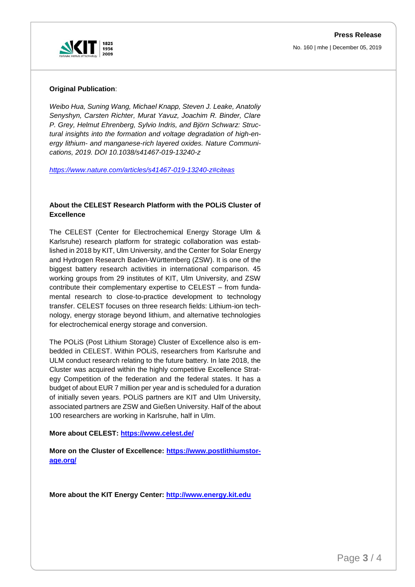

No. 160 | mhe | December 05, 2019

### **Original Publication**:

*Weibo Hua, Suning Wang, Michael Knapp, Steven J. Leake, Anatoliy Senyshyn, Carsten Richter, Murat Yavuz, Joachim R. Binder, Clare P. Grey, Helmut Ehrenberg, Sylvio Indris, and Björn Schwarz: Structural insights into the formation and voltage degradation of high-energy lithium- and manganese-rich layered oxides. Nature Communications, 2019. DOI 10.1038/s41467-019-13240-z*

*<https://www.nature.com/articles/s41467-019-13240-z#citeas>*

## **About the CELEST Research Platform with the POLiS Cluster of Excellence**

The CELEST (Center for Electrochemical Energy Storage Ulm & Karlsruhe) research platform for strategic collaboration was established in 2018 by KIT, Ulm University, and the Center for Solar Energy and Hydrogen Research Baden-Württemberg (ZSW). It is one of the biggest battery research activities in international comparison. 45 working groups from 29 institutes of KIT, Ulm University, and ZSW contribute their complementary expertise to CELEST – from fundamental research to close-to-practice development to technology transfer. CELEST focuses on three research fields: Lithium-ion technology, energy storage beyond lithium, and alternative technologies for electrochemical energy storage and conversion.

The POLiS (Post Lithium Storage) Cluster of Excellence also is embedded in CELEST. Within POLiS, researchers from Karlsruhe and ULM conduct research relating to the future battery. In late 2018, the Cluster was acquired within the highly competitive Excellence Strategy Competition of the federation and the federal states. It has a budget of about EUR 7 million per year and is scheduled for a duration of initially seven years. POLiS partners are KIT and Ulm University, associated partners are ZSW and Gießen University. Half of the about 100 researchers are working in Karlsruhe, half in Ulm.

#### **More about CELEST:<https://www.celest.de/>**

**More on the Cluster of Excellence: [https://www.postlithiumstor](https://www.postlithiumstorage.org/)[age.org/](https://www.postlithiumstorage.org/)** 

**More about the KIT Energy Center: [http://www.energy.kit.edu](http://www.energy.kit.edu/)**